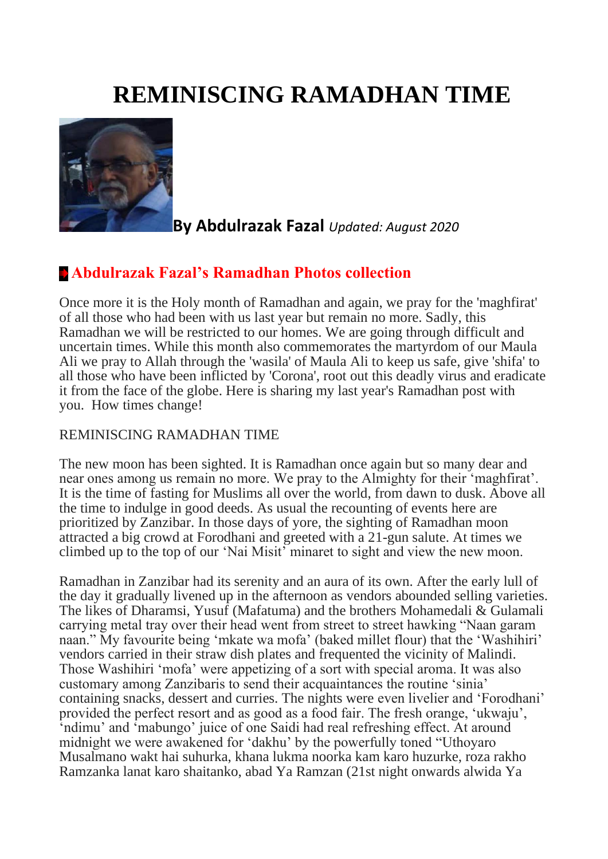# **REMINISCING RAMADHAN TIME**



**By Abdulrazak Fazal** *Updated: August 2020*

## **[Abdulrazak Fazal's Ramadhan Photos collection](http://www.dewani.ca/2020NEW/Others/July2020/ADD/AF/Ramdhan/AFramdhanPics.htm)**

Once more it is the Holy month of Ramadhan and again, we pray for the 'maghfirat' of all those who had been with us last year but remain no more. Sadly, this Ramadhan we will be restricted to our homes. We are going through difficult and uncertain times. While this month also commemorates the martyrdom of our Maula Ali we pray to Allah through the 'wasila' of Maula Ali to keep us safe, give 'shifa' to all those who have been inflicted by 'Corona', root out this deadly virus and eradicate it from the face of the globe. Here is sharing my last year's Ramadhan post with you. How times change!

#### REMINISCING RAMADHAN TIME

The new moon has been sighted. It is Ramadhan once again but so many dear and near ones among us remain no more. We pray to the Almighty for their 'maghfirat'. It is the time of fasting for Muslims all over the world, from dawn to dusk. Above all the time to indulge in good deeds. As usual the recounting of events here are prioritized by Zanzibar. In those days of yore, the sighting of Ramadhan moon attracted a big crowd at Forodhani and greeted with a 21-gun salute. At times we climbed up to the top of our 'Nai Misit' minaret to sight and view the new moon.

Ramadhan in Zanzibar had its serenity and an aura of its own. After the early lull of the day it gradually livened up in the afternoon as vendors abounded selling varieties. The likes of Dharamsi, Yusuf (Mafatuma) and the brothers Mohamedali & Gulamali carrying metal tray over their head went from street to street hawking "Naan garam naan." My favourite being 'mkate wa mofa' (baked millet flour) that the 'Washihiri' vendors carried in their straw dish plates and frequented the vicinity of Malindi. Those Washihiri 'mofa' were appetizing of a sort with special aroma. It was also customary among Zanzibaris to send their acquaintances the routine 'sinia' containing snacks, dessert and curries. The nights were even livelier and 'Forodhani' provided the perfect resort and as good as a food fair. The fresh orange, 'ukwaju', 'ndimu' and 'mabungo' juice of one Saidi had real refreshing effect. At around midnight we were awakened for 'dakhu' by the powerfully toned "Uthoyaro Musalmano wakt hai suhurka, khana lukma noorka kam karo huzurke, roza rakho Ramzanka lanat karo shaitanko, abad Ya Ramzan (21st night onwards alwida Ya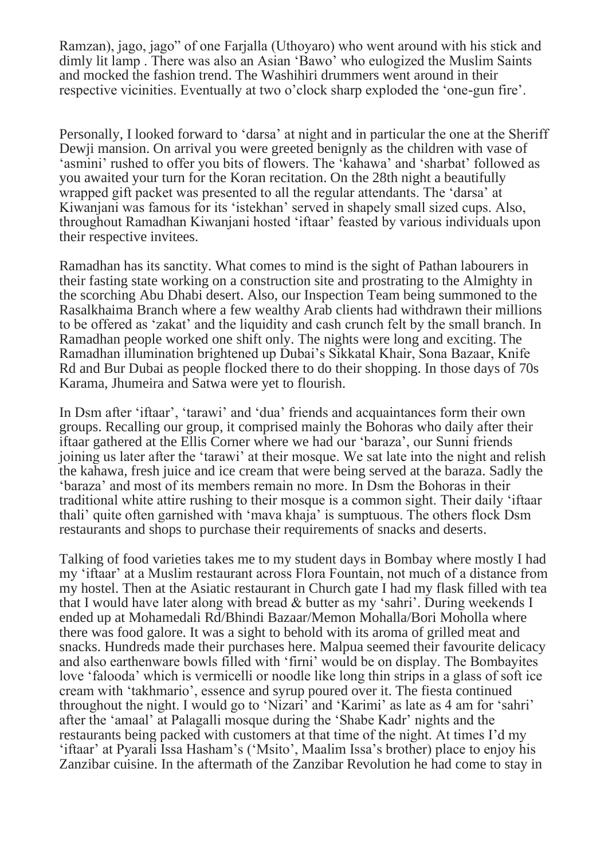Ramzan), jago, jago" of one Farjalla (Uthoyaro) who went around with his stick and dimly lit lamp . There was also an Asian 'Bawo' who eulogized the Muslim Saints and mocked the fashion trend. The Washihiri drummers went around in their respective vicinities. Eventually at two o'clock sharp exploded the 'one-gun fire'.

Personally, I looked forward to 'darsa' at night and in particular the one at the Sheriff Dewji mansion. On arrival you were greeted benignly as the children with vase of 'asmini' rushed to offer you bits of flowers. The 'kahawa' and 'sharbat' followed as you awaited your turn for the Koran recitation. On the 28th night a beautifully wrapped gift packet was presented to all the regular attendants. The 'darsa' at Kiwanjani was famous for its 'istekhan' served in shapely small sized cups. Also, throughout Ramadhan Kiwanjani hosted 'iftaar' feasted by various individuals upon their respective invitees.

Ramadhan has its sanctity. What comes to mind is the sight of Pathan labourers in their fasting state working on a construction site and prostrating to the Almighty in the scorching Abu Dhabi desert. Also, our Inspection Team being summoned to the Rasalkhaima Branch where a few wealthy Arab clients had withdrawn their millions to be offered as 'zakat' and the liquidity and cash crunch felt by the small branch. In Ramadhan people worked one shift only. The nights were long and exciting. The Ramadhan illumination brightened up Dubai's Sikkatal Khair, Sona Bazaar, Knife Rd and Bur Dubai as people flocked there to do their shopping. In those days of 70s Karama, Jhumeira and Satwa were yet to flourish.

In Dsm after 'iftaar', 'tarawi' and 'dua' friends and acquaintances form their own groups. Recalling our group, it comprised mainly the Bohoras who daily after their iftaar gathered at the Ellis Corner where we had our 'baraza', our Sunni friends joining us later after the 'tarawi' at their mosque. We sat late into the night and relish the kahawa, fresh juice and ice cream that were being served at the baraza. Sadly the 'baraza' and most of its members remain no more. In Dsm the Bohoras in their traditional white attire rushing to their mosque is a common sight. Their daily 'iftaar thali' quite often garnished with 'mava khaja' is sumptuous. The others flock Dsm restaurants and shops to purchase their requirements of snacks and deserts.

Talking of food varieties takes me to my student days in Bombay where mostly I had my 'iftaar' at a Muslim restaurant across Flora Fountain, not much of a distance from my hostel. Then at the Asiatic restaurant in Church gate I had my flask filled with tea that I would have later along with bread & butter as my 'sahri'. During weekends I ended up at Mohamedali Rd/Bhindi Bazaar/Memon Mohalla/Bori Moholla where there was food galore. It was a sight to behold with its aroma of grilled meat and snacks. Hundreds made their purchases here. Malpua seemed their favourite delicacy and also earthenware bowls filled with 'firni' would be on display. The Bombayites love 'falooda' which is vermicelli or noodle like long thin strips in a glass of soft ice cream with 'takhmario', essence and syrup poured over it. The fiesta continued throughout the night. I would go to 'Nizari' and 'Karimi' as late as 4 am for 'sahri' after the 'amaal' at Palagalli mosque during the 'Shabe Kadr' nights and the restaurants being packed with customers at that time of the night. At times I'd my 'iftaar' at Pyarali Issa Hasham's ('Msito', Maalim Issa's brother) place to enjoy his Zanzibar cuisine. In the aftermath of the Zanzibar Revolution he had come to stay in